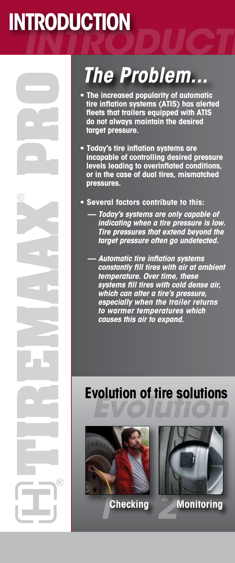## *INTRODUCTION* **INTRODUCTION**

® **PRO**

**TIREMAAX**

### *The Problem...*

- **• The increased popularity of automatic tire inflation systems (ATIS) has alerted fleets that trailers equipped with ATIS do not always maintain the desired target pressure.**
- **• Today's tire inflation systems are incapable of controlling desired pressure levels leading to overinflated conditions, or in the case of dual tires, mismatched pressures.**
- **Several factors contribute to this:**
	- *Today's systems are only capable of indicating when a tire pressure is low. Tire pressures that extend beyond the target pressure often go undetected.*
	- *Automatic tire inflation systems constantly fill tires with air at ambient temperature. Over time, these systems fill tires with cold dense air, which can alter a tire's pressure, especially when the trailer returns to warmer temperatures which causes this air to expand.*

### **Evolution of tire solutions** *Evolution of tire solutions*



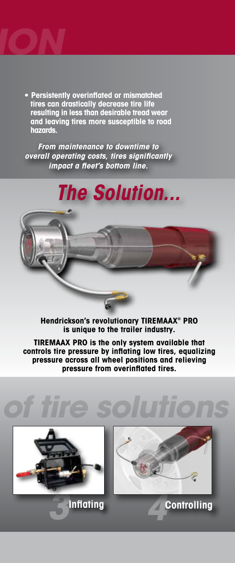

**• Persistently overinflated or mismatched tires can drastically decrease tire life resulting in less than desirable tread wear and leaving tires more susceptible to road hazards.**

*From maintenance to downtime to overall operating costs, tires significantly impact a fleet's bottom line.*

### *The Solution...*

**Hendrickson's revolutionary TIREMAAX® PRO is unique to the trailer industry.** 

**TIREMAAX PRO is the only system available that controls tire pressure by inflating low tires, equalizing pressure across all wheel positions and relieving pressure from overinflated tires.**

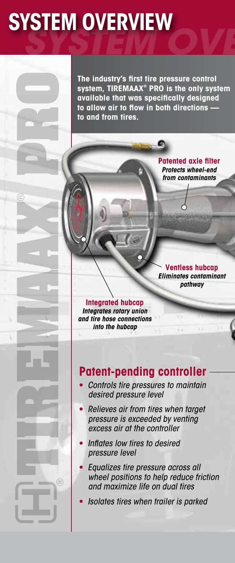## *SYSTEM OVERVIEW* **SYSTEM OVERVIEW**

**The industry's first tire pressure control system, TIREMAAX® PRO is the only system available that was specifically designed to allow air to flow in both directions to and from tires.**

> **Patented axle filter** *Protects wheel-end from contaminants*

**Ventless hubcap** *Eliminates contaminant pathway*

#### **Integrated hubcap**

*Integrates rotary union and tire hose connections into the hubcap*

**TIREMAAX**

® **PRO**

#### **Patent-pending controller**

- **•** *Controls tire pressures to maintain desired pressure level*
- **•** *Relieves air from tires when target pressure is exceeded by venting excess air at the controller*
- **•** *Inflates low tires to desired pressure level*
- **•** *Equalizes tire pressure across all wheel positions to help reduce friction and maximize life on dual tires*
- **•** *Isolates tires when trailer is parked*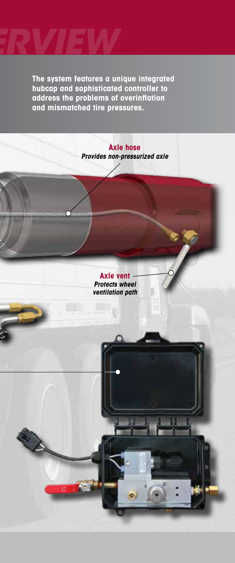

**The system features a unique integrated hubcap and sophisticated controller to address the problems of overinflation and mismatched tire pressures.**

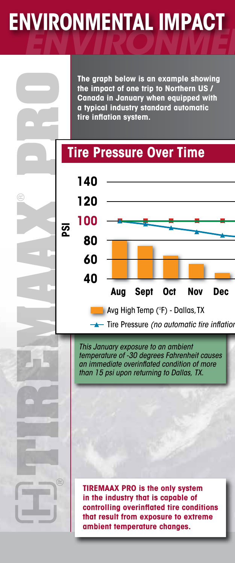## **ENVIRONMENTAL IMPACT**

**The graph below is an example showing the impact of one trip to Northern US / Canada in January when equipped with a typical industry standard automatic tire inflation system.**

#### **Tire Pressure Over Time**



*This January exposure to an ambient temperature of -30 degrees Fahrenheit causes an immediate overinflated condition of more than 15 psi upon returning to Dallas, TX.*

**TIREMAAX**

® **PRO**

**TIREMAAX PRO is the only system in the industry that is capable of controlling overinflated tire conditions that result from exposure to extreme ambient temperature changes.**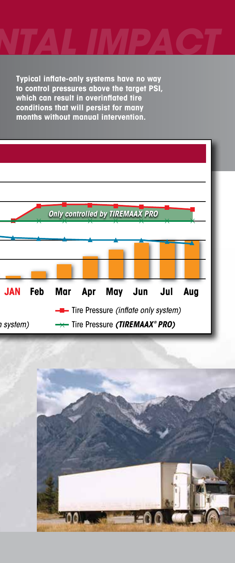

**Typical inflate-only systems have no way to control pressures above the target PSI, which can result in overinflated tire conditions that will persist for many months without manual intervention.**



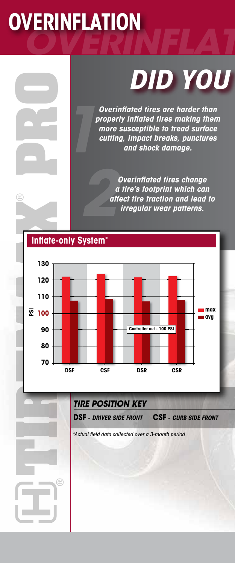## *OVERINFLATION* **OVERINFLATION**

® **PRO**

# **DID YOU**

*Overinflated tires are harder than properly inflated tires making them more susceptible to tread surface*  **cutting, increase of the property inflated tires making them**<br> *cutting, impact breaks, punctures*<br> *cutting, impact breaks, punctures*<br> *and shock damage.* 

> *Overinflated tires change a tire's footprint which can affect tire traction and lead to irregular wear patterns.*



*TIRE POSITION KEY*

**DSF -** *DRIVER SIDE FRONT*

**CSF -** *CURB SIDE FRONT*

*\*Actual field data collected over a 3-month period*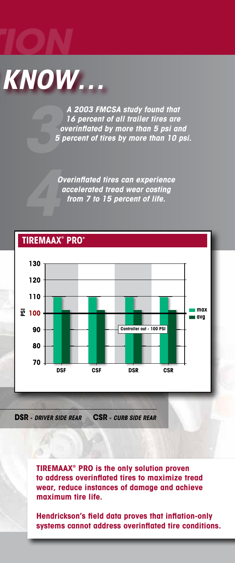

*OVERINFLATION*

*A 2003 FMCSA study found that 16 percent of all trailer tires are overinflated by more than 5 psi and 5 percent of tires by more than 10 psi. 3*

> *Overinflated tires can experience accelerated tread wear costing from 7 to 15 percent of life.*



**DSR -** *DRIVER SIDE REAR* **CSR -** *CURB SIDE REAR*

**TIREMAAX® PRO is the only solution proven to address overinflated tires to maximize tread wear, reduce instances of damage and achieve maximum tire life.**

**Hendrickson's field data proves that inflation-only systems cannot address overinflated tire conditions.**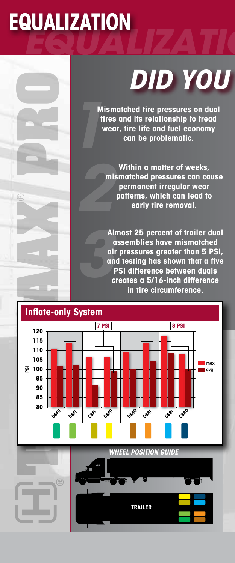# *EQUALIZATION* **EQUALIZATION**

® **PRO**

# *DID YOU*

**Mismatched tire pressures on dual tires and its relationship to tread Wismatched tire pressures on dua**<br>tires and its relationship to tread<br>wear, tire life and fuel economy<br>can be problematic.

**Within a matter of weeks, mismatched pressures can cause permanent irregular wear patterns, which can lead to early tire removal.** *2*

**Almost 25 percent of trailer dual assemblies have mismatched air pressures greater than 5 PSI, and testing has shown that a five PSI difference between duals creates a 5/16-inch difference in tire circumference.** *3*

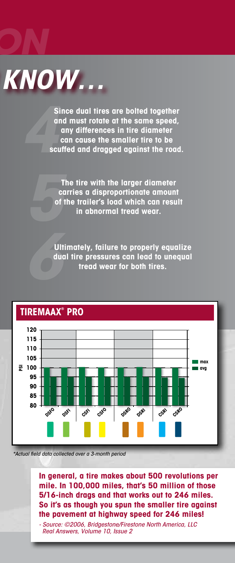

*EQUALIZATION*

**Since dual tires are bolted together and must rotate at the same speed, any differences in tire diameter**  Since dual tires are bolted together<br>and must rotate at the same speed,<br>any differences in tire diameter<br>can cause the smaller tire to be<br>scuffed and dragged against the road.

> **The tire with the larger diameter carries a disproportionate amount of the trailer's load which can result** *5* **in abnormal tread wear.**

**Ultimately, failure to properly equalize dual tire pressures can lead to unequal** *6* **tread wear for both tires.**



*\*Actual field data collected over a 3-month period*

**In general, a tire makes about 500 revolutions per mile. In 100,000 miles, that's 50 million of those 5/16-inch drags and that works out to 246 miles. So it's as though you spun the smaller tire against the pavement at highway speed for 246 miles!**

*- Source: ©2006, Bridgestone/Firestone North America, LLC Real Answers, Volume 10, Issue 2*